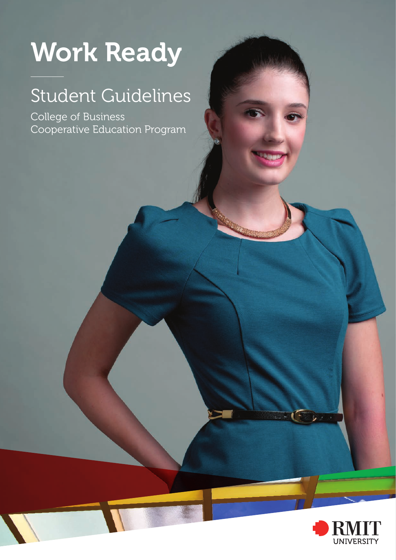# Work Ready

# Student Guidelines

College of Business Cooperative Education Program

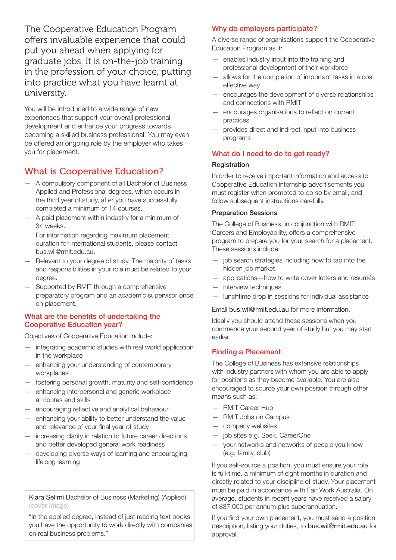The Cooperative Education Program offers invaluable experience that could put you ahead when applying for graduate jobs. It is on-the-job training in the profession of your choice, putting into practice what you have learnt at university.

You will be introduced to a wide range of new experiences that support your overall professional development and enhance your progress towards becoming a skilled business professional. You may even be offered an ongoing role by the employer who takes you for placement.

# What is Cooperative Education?

- A compulsory component of all Bachelor of Business Applied and Professional degrees, which occurs in the third year of study, after you have successfully completed a minimum of 14 courses.
- A paid placement within industry for a minimum of 34 weeks.

For information regarding maximum placement duration for international students, please contact bus.wil@rmit.edu.au.

- Relevant to your degree of study. The majority of tasks and responsibilities in your role must be related to your degree.
- Supported by RMIT through a comprehensive preparatory program and an academic supervisor once on placement.

#### What are the benefits of undertaking the Cooperative Education year?

Objectives of Cooperative Education include:

- integrating academic studies with real world application in the workplace
- enhancing your understanding of contemporary workplaces
- fostering personal growth, maturity and self-confidence
- enhancing interpersonal and generic workplace attributes and skills
- encouraging reflective and analytical behaviour
- enhancing your ability to better understand the value and relevance of your final year of study
- increasing clarity in relation to future career directions and better developed general work readiness
- developing diverse ways of learning and encouraging lifelong learning

Kiara Selimi Bachelor of Business (Marketing) (Applied) (cover image)

"In the applied degree, instead of just reading text books you have the opportunity to work directly with companies on real business problems."

#### Why do employers participate?

A diverse range of organisations support the Cooperative Education Program as it:

- enables industry input into the training and professional development of their workforce
- allows for the completion of important tasks in a cost effective way
- encourages the development of diverse relationships and connections with RMIT
- encourages organisations to reflect on current practices
- provides direct and indirect input into business programs

#### What do I need to do to get ready?

#### **Registration**

In order to receive important information and access to Cooperative Education internship advertisements you must register when prompted to do so by email, and follow subsequent instructions carefully.

#### Preparation Sessions

The College of Business, in conjunction with RMIT Careers and Employability, offers a comprehensive program to prepare you for your search for a placement. These sessions include:

- job search strategies including how to tap into the hidden job market
- applications—how to write cover letters and resumés
- interview techniques
- lunchtime drop in sessions for individual assistance

Email bus.wil@rmit.edu.au for more information.

Ideally you should attend these sessions when you commence your second year of study but you may start earlier.

#### Finding a Placement

The College of Business has extensive relationships with industry partners with whom you are able to apply for positions as they become available. You are also encouraged to source your own position through other means such as:

- RMIT Career Hub
- RMIT Jobs on Campus
- company websites
- job sites e.g. Seek, CareerOne
- your networks and networks of people you know (e.g. family, club)

If you self-source a position, you must ensure your role is full-time, a minimum of eight months in duration and directly related to your discipline of study. Your placement must be paid in accordance with Fair Work Australia. On average, students in recent years have received a salary of \$37,000 per annum plus superannuation.

If you find your own placement, you must send a position description, listing your duties, to bus.wil@rmit.edu.au for approval.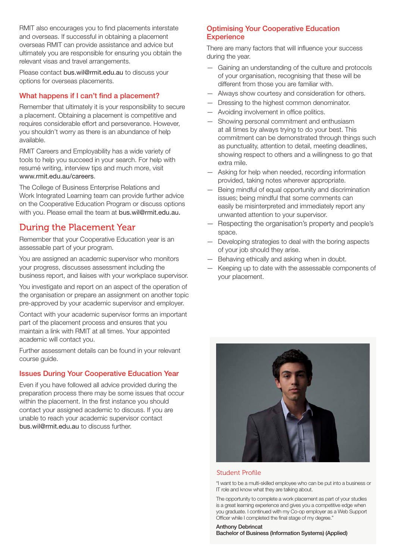RMIT also encourages you to find placements interstate and overseas. If successful in obtaining a placement overseas RMIT can provide assistance and advice but ultimately you are responsible for ensuring you obtain the relevant visas and travel arrangements.

Please contact bus.wil@rmit.edu.au to discuss your options for overseas placements.

#### What happens if I can't find a placement?

Remember that ultimately it is your responsibility to secure a placement. Obtaining a placement is competitive and requires considerable effort and perseverance. However, you shouldn't worry as there is an abundance of help available.

RMIT Careers and Employability has a wide variety of tools to help you succeed in your search. For help with resumé writing, interview tips and much more, visit www.rmit.edu.au/careers.

The College of Business Enterprise Relations and Work Integrated Learning team can provide further advice on the Cooperative Education Program or discuss options with you. Please email the team at bus.wil@rmit.edu.au.

## During the Placement Year

Remember that your Cooperative Education year is an assessable part of your program.

You are assigned an academic supervisor who monitors your progress, discusses assessment including the business report, and liaises with your workplace supervisor.

You investigate and report on an aspect of the operation of the organisation or prepare an assignment on another topic pre-approved by your academic supervisor and employer.

Contact with your academic supervisor forms an important part of the placement process and ensures that you maintain a link with RMIT at all times. Your appointed academic will contact you.

Further assessment details can be found in your relevant course guide.

#### Issues During Your Cooperative Education Year

Even if you have followed all advice provided during the preparation process there may be some issues that occur within the placement. In the first instance you should contact your assigned academic to discuss. If you are unable to reach your academic supervisor contact bus.wil@rmit.edu.au to discuss further.

#### Optimising Your Cooperative Education **Experience**

There are many factors that will influence your success during the year.

- Gaining an understanding of the culture and protocols of your organisation, recognising that these will be different from those you are familiar with.
- Always show courtesy and consideration for others.
- Dressing to the highest common denominator.
- Avoiding involvement in office politics.
- Showing personal commitment and enthusiasm at all times by always trying to do your best. This commitment can be demonstrated through things such as punctuality, attention to detail, meeting deadlines, showing respect to others and a willingness to go that extra mile.
- Asking for help when needed, recording information provided, taking notes wherever appropriate.
- Being mindful of equal opportunity and discrimination issues; being mindful that some comments can easily be misinterpreted and immediately report any unwanted attention to your supervisor.
- Respecting the organisation's property and people's space.
- Developing strategies to deal with the boring aspects of your job should they arise.
- Behaving ethically and asking when in doubt.
- Keeping up to date with the assessable components of your placement.



#### Student Profile

"I want to be a multi-skilled employee who can be put into a business or IT role and know what they are talking about.

The opportunity to complete a work placement as part of your studies is a great learning experience and gives you a competitive edge when you graduate. I continued with my Co-op employer as a Web Support Officer while I completed the final stage of my degree."

Anthony Debrincat Bachelor of Business (Information Systems) (Applied)